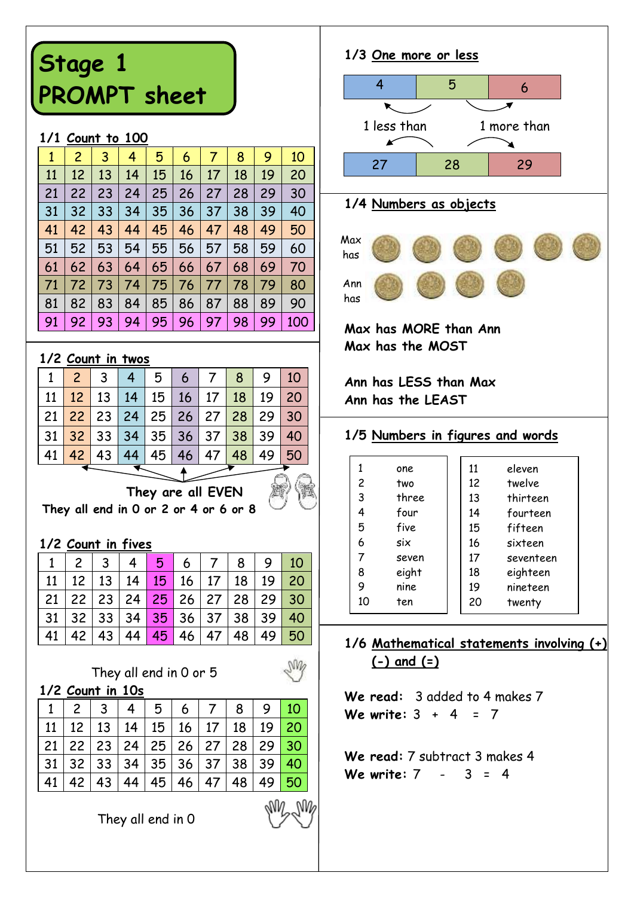# **Stage 1 PROMPT sheet**

#### **1/1 Count to 100**

| 1  | 2  | 3  | 4  | 5  | 6  | 7  | 8  | 9  | 10  |
|----|----|----|----|----|----|----|----|----|-----|
| 11 | 12 | 13 | 14 | 15 | 16 | 17 | 18 | 19 | 20  |
| 21 | 22 | 23 | 24 | 25 | 26 | 27 | 28 | 29 | 30  |
| 31 | 32 | 33 | 34 | 35 | 36 | 37 | 38 | 39 | 40  |
| 41 | 42 | 43 | 44 | 45 | 46 | 47 | 48 | 49 | 50  |
| 51 | 52 | 53 | 54 | 55 | 56 | 57 | 58 | 59 | 60  |
| 61 | 62 | 63 | 64 | 65 | 66 | 67 | 68 | 69 | 70  |
| 71 | 72 | 73 | 74 | 75 | 76 | 77 | 78 | 79 | 80  |
| 81 | 82 | 83 | 84 | 85 | 86 | 87 | 88 | 89 | 90  |
| 91 | 92 | 93 | 94 | 95 | 96 | 97 | 98 | 99 | 100 |

#### **1/2 Count in twos**

| $1$ $\blacksquare$ |                 |           |    | 5  | 6 | <b>7</b>                                                                               | 8 9 10 |  |
|--------------------|-----------------|-----------|----|----|---|----------------------------------------------------------------------------------------|--------|--|
| 11                 | 12 <sup>1</sup> |           |    |    |   | 13   14   15   16   17   18   19   20                                                  |        |  |
|                    |                 |           |    |    |   | 21 22 23 24 25 26 27 28 29 30                                                          |        |  |
|                    |                 |           |    |    |   | 31 <mark>  32  </mark> 33   34   35   36   37 <mark>  38  </mark> 39 <mark>  40</mark> |        |  |
| 41                 |                 | $42$   43 | 44 | 45 |   | 46 47 48 49 50                                                                         |        |  |

T

 **They are all EVEN They all end in 0 or 2 or 4 or 6 or 8**

#### **1/2 Count in fives**

|                                                                           |  |  |  | $1 \mid 2 \mid 3 \mid 4 \mid 5 \mid 6 \mid 7 \mid 8 \mid 9 \mid 10$ |  |
|---------------------------------------------------------------------------|--|--|--|---------------------------------------------------------------------|--|
|                                                                           |  |  |  | 11   12   13   14   15   16   17   18   19   20                     |  |
| 21   22   23   24 <mark>  25  </mark> 26   27   28   29 <mark>  30</mark> |  |  |  |                                                                     |  |
| 31   32   33   34 <mark>  35  </mark> 36   37   38   39 <mark>  40</mark> |  |  |  |                                                                     |  |
|                                                                           |  |  |  | 41   42   43   44   45   46   47   48   49   50                     |  |

NW,

#### They all end in 0 or 5

**1/2 Count in 10s**

|    |  |  | $1 \mid 2 \mid 3 \mid 4 \mid 5 \mid 6 \mid 7 \mid 8 \mid 9 \mid 10$ |  |  |
|----|--|--|---------------------------------------------------------------------|--|--|
|    |  |  | 11   12   13   14   15   16   17   18   19 <mark>  20</mark>        |  |  |
|    |  |  | 21   22   23   24   25   26   27   28   29 <mark>  30</mark>        |  |  |
|    |  |  | 31   32   33   34   35   36   37   38   39 <mark>  40</mark>        |  |  |
| 41 |  |  | 42   43   44   45   46   47   48   49   50                          |  |  |

They all end in 0



## **1/4 Numbers as objects**



**Max has MORE than Ann Max has the MOST**

**Ann has LESS than Max Ann has the LEAST**

### **1/5 Numbers in figures and words**

|    | one   | 11 | eleven    |
|----|-------|----|-----------|
| 2  | two   | 12 | twelve    |
| 3  | three | 13 | thirteen  |
| 4  | four  | 14 | fourteen  |
| 5  | five  | 15 | fifteen   |
| 6  | six   | 16 | sixteen   |
| 7  | seven | 17 | seventeen |
| 8  | eight | 18 | eighteen  |
| 9  | nine  | 19 | nineteen  |
| 10 | ten   | 20 | twenty    |

## **1/6 Mathematical statements involving (+) (-) and (=)**

**We read:** 3 added to 4 makes 7 **We write:** 3 + 4 = 7

**We read:** 7 subtract 3 makes 4 **We write:** 7 - 3 = 4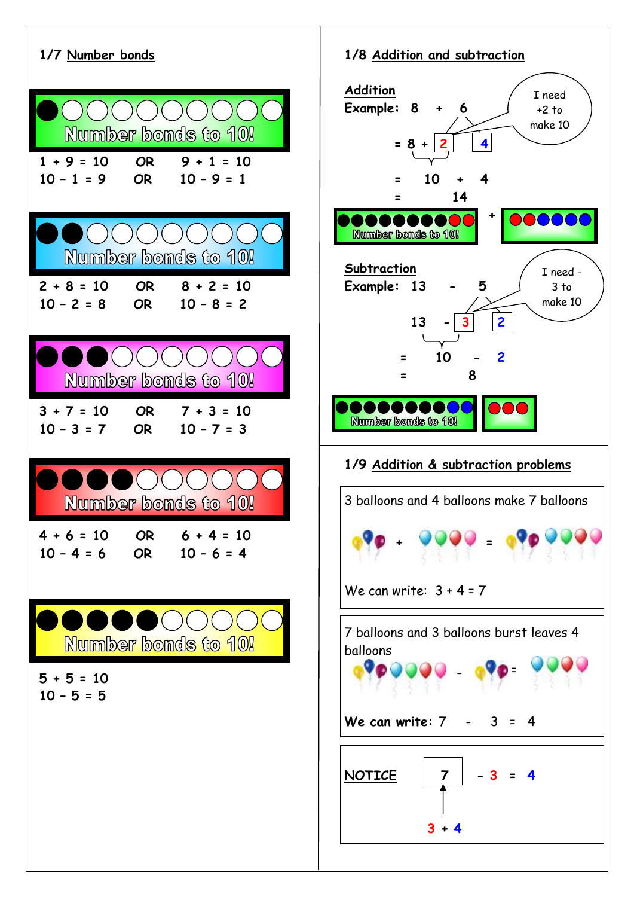

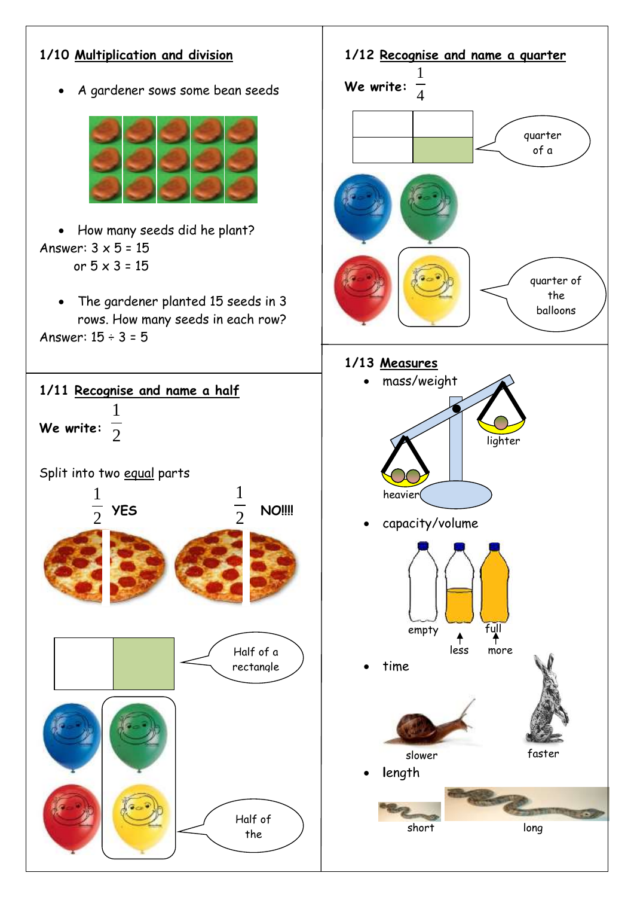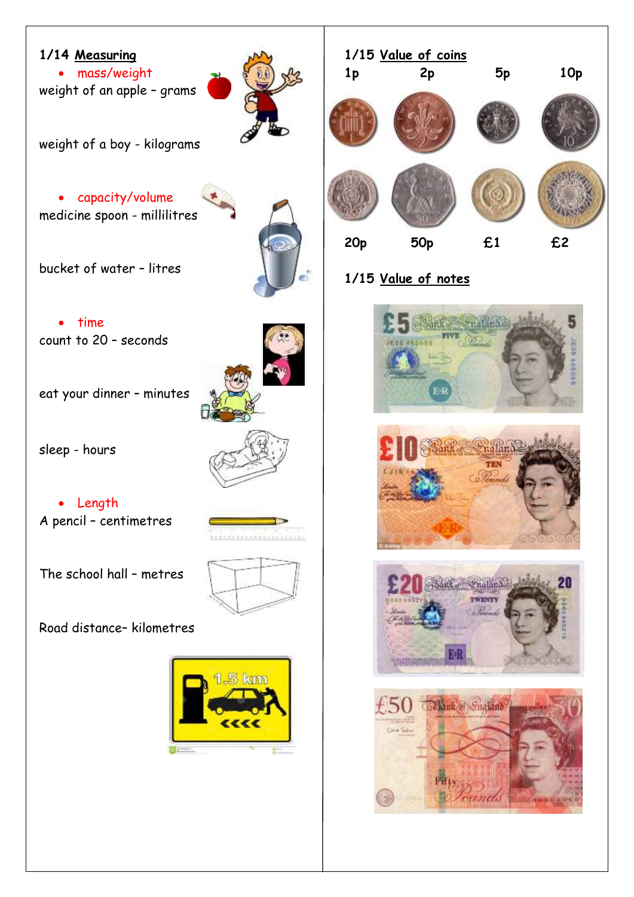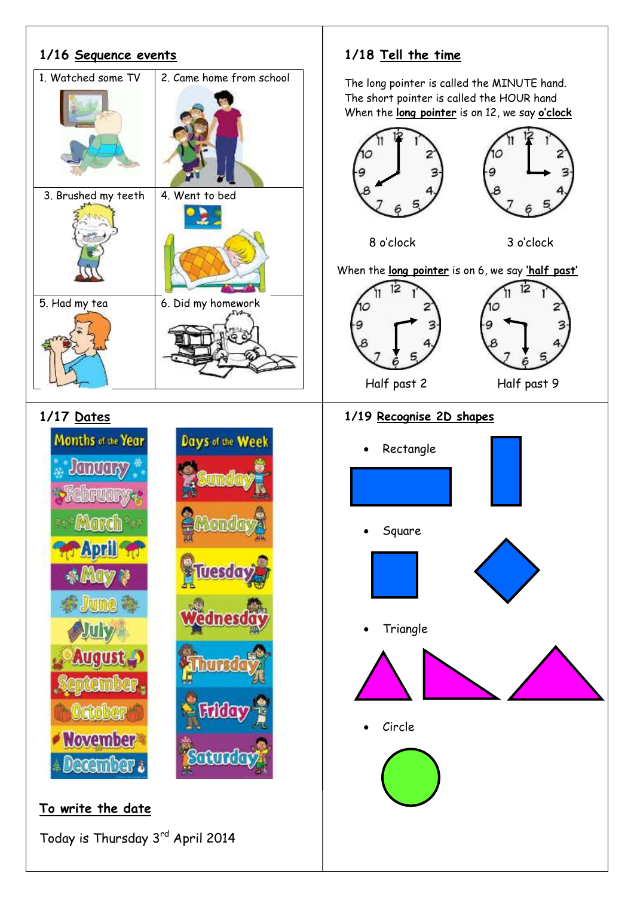